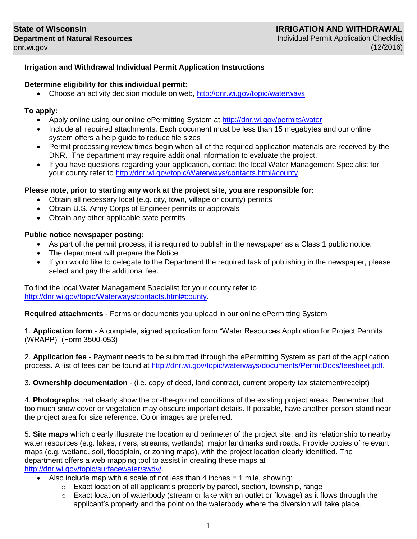# **Irrigation and Withdrawal Individual Permit Application Instructions**

#### **Determine eligibility for this individual permit:**

Choose an activity decision module on web,<http://dnr.wi.gov/topic/waterways>

### **To apply:**

- Apply online using our online ePermitting System at<http://dnr.wi.gov/permits/water>
- Include all required attachments. Each document must be less than 15 megabytes and our online system offers a help guide to reduce file sizes
- Permit processing review times begin when all of the required application materials are received by the DNR. The department may require additional information to evaluate the project.
- If you have questions regarding your application, contact the local Water Management Specialist for your county refer to [http://dnr.wi.gov/topic/Waterways/contacts.html#county.](http://dnr.wi.gov/topic/Waterways/contacts.html#county)

### **Please note, prior to starting any work at the project site, you are responsible for:**

- Obtain all necessary local (e.g. city, town, village or county) permits
- Obtain U.S. Army Corps of Engineer permits or approvals
- Obtain any other applicable state permits

### **Public notice newspaper posting:**

- As part of the permit process, it is required to publish in the newspaper as a Class 1 public notice.
- The department will prepare the Notice
- If you would like to delegate to the Department the required task of publishing in the newspaper, please select and pay the additional fee.

To find the local Water Management Specialist for your county refer to [http://dnr.wi.gov/topic/Waterways/contacts.html#county.](http://dnr.wi.gov/topic/Waterways/contacts.html#county)

**Required attachments** - Forms or documents you upload in our online ePermitting System

1. **Application form** - A complete, signed application form "Water Resources Application for Project Permits (WRAPP)" (Form 3500-053)

2. **Application fee** - Payment needs to be submitted through the ePermitting System as part of the application process. A list of fees can be found at [http://dnr.wi.gov/topic/waterways/documents/PermitDocs/feesheet.pdf.](http://dnr.wi.gov/topic/waterways/documents/PermitDocs/feesheet.pdf)

3. **Ownership documentation** - (i.e. copy of deed, land contract, current property tax statement/receipt)

4. **Photographs** that clearly show the on-the-ground conditions of the existing project areas. Remember that too much snow cover or vegetation may obscure important details. If possible, have another person stand near the project area for size reference. Color images are preferred.

5. **Site maps** which clearly illustrate the location and perimeter of the project site, and its relationship to nearby water resources (e.g. lakes, rivers, streams, wetlands), major landmarks and roads. Provide copies of relevant maps (e.g. wetland, soil, floodplain, or zoning maps), with the project location clearly identified. The department offers a web mapping tool to assist in creating these maps at [http://dnr.wi.gov/topic/surfacewater/swdv/.](http://dnr.wi.gov/topic/surfacewater/swdv/)

- $\bullet$  Also include map with a scale of not less than 4 inches  $= 1$  mile, showing:
	- $\circ$  Exact location of all applicant's property by parcel, section, township, range
	- $\circ$  Exact location of waterbody (stream or lake with an outlet or flowage) as it flows through the applicant's property and the point on the waterbody where the diversion will take place.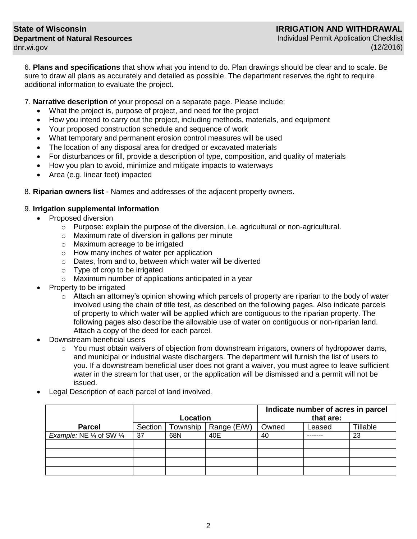6. **Plans and specifications** that show what you intend to do. Plan drawings should be clear and to scale. Be sure to draw all plans as accurately and detailed as possible. The department reserves the right to require additional information to evaluate the project.

7. **Narrative description** of your proposal on a separate page. Please include:

- What the project is, purpose of project, and need for the project
- How you intend to carry out the project, including methods, materials, and equipment
- Your proposed construction schedule and sequence of work
- What temporary and permanent erosion control measures will be used
- The location of any disposal area for dredged or excavated materials
- For disturbances or fill, provide a description of type, composition, and quality of materials
- How you plan to avoid, minimize and mitigate impacts to waterways
- Area (e.g. linear feet) impacted
- 8. **Riparian owners list** Names and addresses of the adjacent property owners.

### 9. **Irrigation supplemental information**

- Proposed diversion
	- $\circ$  Purpose: explain the purpose of the diversion, i.e. agricultural or non-agricultural.
	- o Maximum rate of diversion in gallons per minute
	- o Maximum acreage to be irrigated
	- o How many inches of water per application
	- o Dates, from and to, between which water will be diverted
	- o Type of crop to be irrigated
	- o Maximum number of applications anticipated in a year
- Property to be irrigated
	- $\circ$  Attach an attorney's opinion showing which parcels of property are riparian to the body of water involved using the chain of title test, as described on the following pages. Also indicate parcels of property to which water will be applied which are contiguous to the riparian property. The following pages also describe the allowable use of water on contiguous or non-riparian land. Attach a copy of the deed for each parcel.
- Downstream beneficial users
	- $\circ$  You must obtain waivers of objection from downstream irrigators, owners of hydropower dams, and municipal or industrial waste dischargers. The department will furnish the list of users to you. If a downstream beneficial user does not grant a waiver, you must agree to leave sufficient water in the stream for that user, or the application will be dismissed and a permit will not be issued.
- Legal Description of each parcel of land involved.

|                           |          |          |             | Indicate number of acres in parcel |        |          |
|---------------------------|----------|----------|-------------|------------------------------------|--------|----------|
|                           | Location |          |             | that are:                          |        |          |
| <b>Parcel</b>             | Section  | Township | Range (E/W) | Owned                              | Leased | Tillable |
| Example: NE 1/4 of SW 1/4 | 37       | 68N      | 40E         | 40                                 |        | 23       |
|                           |          |          |             |                                    |        |          |
|                           |          |          |             |                                    |        |          |
|                           |          |          |             |                                    |        |          |
|                           |          |          |             |                                    |        |          |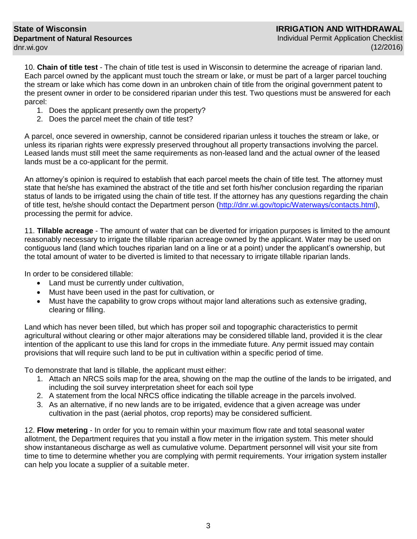**IRRIGATION AND WITHDRAWAL** Individual Permit Application Checklist (12/2016)

10. **Chain of title test** - The chain of title test is used in Wisconsin to determine the acreage of riparian land. Each parcel owned by the applicant must touch the stream or lake, or must be part of a larger parcel touching the stream or lake which has come down in an unbroken chain of title from the original government patent to the present owner in order to be considered riparian under this test. Two questions must be answered for each parcel:

- 1. Does the applicant presently own the property?
- 2. Does the parcel meet the chain of title test?

A parcel, once severed in ownership, cannot be considered riparian unless it touches the stream or lake, or unless its riparian rights were expressly preserved throughout all property transactions involving the parcel. Leased lands must still meet the same requirements as non-leased land and the actual owner of the leased lands must be a co-applicant for the permit.

An attorney's opinion is required to establish that each parcel meets the chain of title test. The attorney must state that he/she has examined the abstract of the title and set forth his/her conclusion regarding the riparian status of lands to be irrigated using the chain of title test. If the attorney has any questions regarding the chain of title test, he/she should contact the Department person [\(http://dnr.wi.gov/topic/Waterways/contacts.html\)](http://dnr.wi.gov/topic/Waterways/contacts.html), processing the permit for advice.

11. **Tillable acreage** - The amount of water that can be diverted for irrigation purposes is limited to the amount reasonably necessary to irrigate the tillable riparian acreage owned by the applicant. Water may be used on contiguous land (land which touches riparian land on a line or at a point) under the applicant's ownership, but the total amount of water to be diverted is limited to that necessary to irrigate tillable riparian lands.

In order to be considered tillable:

- Land must be currently under cultivation,
- Must have been used in the past for cultivation, or
- Must have the capability to grow crops without major land alterations such as extensive grading, clearing or filling.

Land which has never been tilled, but which has proper soil and topographic characteristics to permit agricultural without clearing or other major alterations may be considered tillable land, provided it is the clear intention of the applicant to use this land for crops in the immediate future. Any permit issued may contain provisions that will require such land to be put in cultivation within a specific period of time.

To demonstrate that land is tillable, the applicant must either:

- 1. Attach an NRCS soils map for the area, showing on the map the outline of the lands to be irrigated, and including the soil survey interpretation sheet for each soil type
- 2. A statement from the local NRCS office indicating the tillable acreage in the parcels involved.
- 3. As an alternative, if no new lands are to be irrigated, evidence that a given acreage was under cultivation in the past (aerial photos, crop reports) may be considered sufficient.

12. **Flow metering** - In order for you to remain within your maximum flow rate and total seasonal water allotment, the Department requires that you install a flow meter in the irrigation system. This meter should show instantaneous discharge as well as cumulative volume. Department personnel will visit your site from time to time to determine whether you are complying with permit requirements. Your irrigation system installer can help you locate a supplier of a suitable meter.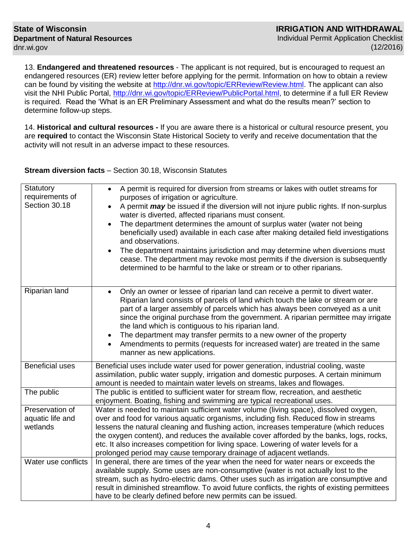13. **Endangered and threatened resources** - The applicant is not required, but is encouraged to request an endangered resources (ER) review letter before applying for the permit. Information on how to obtain a review can be found by visiting the website at [http://dnr.wi.gov/topic/ERReview/Review.html.](http://dnr.wi.gov/topic/ERReview/Review.html) The applicant can also visit the NHI Public Portal, [http://dnr.wi.gov/topic/ERReview/PublicPortal.html,](http://dnr.wi.gov/topic/ERReview/PublicPortal.html) to determine if a full ER Review is required. Read the 'What is an ER Preliminary Assessment and what do the results mean?' section to determine follow-up steps.

14. **Historical and cultural resources -** If you are aware there is a historical or cultural resource present, you are **required** to contact the Wisconsin State Historical Society to verify and receive documentation that the activity will not result in an adverse impact to these resources.

**Stream diversion facts** – Section 30.18, Wisconsin Statutes

| Statutory<br>requirements of<br>Section 30.18   | A permit is required for diversion from streams or lakes with outlet streams for<br>$\bullet$<br>purposes of irrigation or agriculture.<br>A permit may be issued if the diversion will not injure public rights. If non-surplus<br>water is diverted, affected riparians must consent.<br>The department determines the amount of surplus water (water not being<br>beneficially used) available in each case after making detailed field investigations<br>and observations.<br>The department maintains jurisdiction and may determine when diversions must<br>cease. The department may revoke most permits if the diversion is subsequently<br>determined to be harmful to the lake or stream or to other riparians. |
|-------------------------------------------------|---------------------------------------------------------------------------------------------------------------------------------------------------------------------------------------------------------------------------------------------------------------------------------------------------------------------------------------------------------------------------------------------------------------------------------------------------------------------------------------------------------------------------------------------------------------------------------------------------------------------------------------------------------------------------------------------------------------------------|
| Riparian land                                   | Only an owner or lessee of riparian land can receive a permit to divert water.<br>$\bullet$<br>Riparian land consists of parcels of land which touch the lake or stream or are<br>part of a larger assembly of parcels which has always been conveyed as a unit<br>since the original purchase from the government. A riparian permittee may irrigate<br>the land which is contiguous to his riparian land.<br>The department may transfer permits to a new owner of the property<br>Amendments to permits (requests for increased water) are treated in the same<br>manner as new applications.                                                                                                                          |
| <b>Beneficial uses</b>                          | Beneficial uses include water used for power generation, industrial cooling, waste<br>assimilation, public water supply, irrigation and domestic purposes. A certain minimum<br>amount is needed to maintain water levels on streams, lakes and flowages.                                                                                                                                                                                                                                                                                                                                                                                                                                                                 |
| The public                                      | The public is entitled to sufficient water for stream flow, recreation, and aesthetic<br>enjoyment. Boating, fishing and swimming are typical recreational uses.                                                                                                                                                                                                                                                                                                                                                                                                                                                                                                                                                          |
| Preservation of<br>aquatic life and<br>wetlands | Water is needed to maintain sufficient water volume (living space), dissolved oxygen,<br>over and food for various aquatic organisms, including fish. Reduced flow in streams<br>lessens the natural cleaning and flushing action, increases temperature (which reduces<br>the oxygen content), and reduces the available cover afforded by the banks, logs, rocks,<br>etc. It also increases competition for living space. Lowering of water levels for a<br>prolonged period may cause temporary drainage of adjacent wetlands.                                                                                                                                                                                         |
| Water use conflicts                             | In general, there are times of the year when the need for water nears or exceeds the<br>available supply. Some uses are non-consumptive (water is not actually lost to the<br>stream, such as hydro-electric dams. Other uses such as irrigation are consumptive and<br>result in diminished streamflow. To avoid future conflicts, the rights of existing permittees<br>have to be clearly defined before new permits can be issued.                                                                                                                                                                                                                                                                                     |